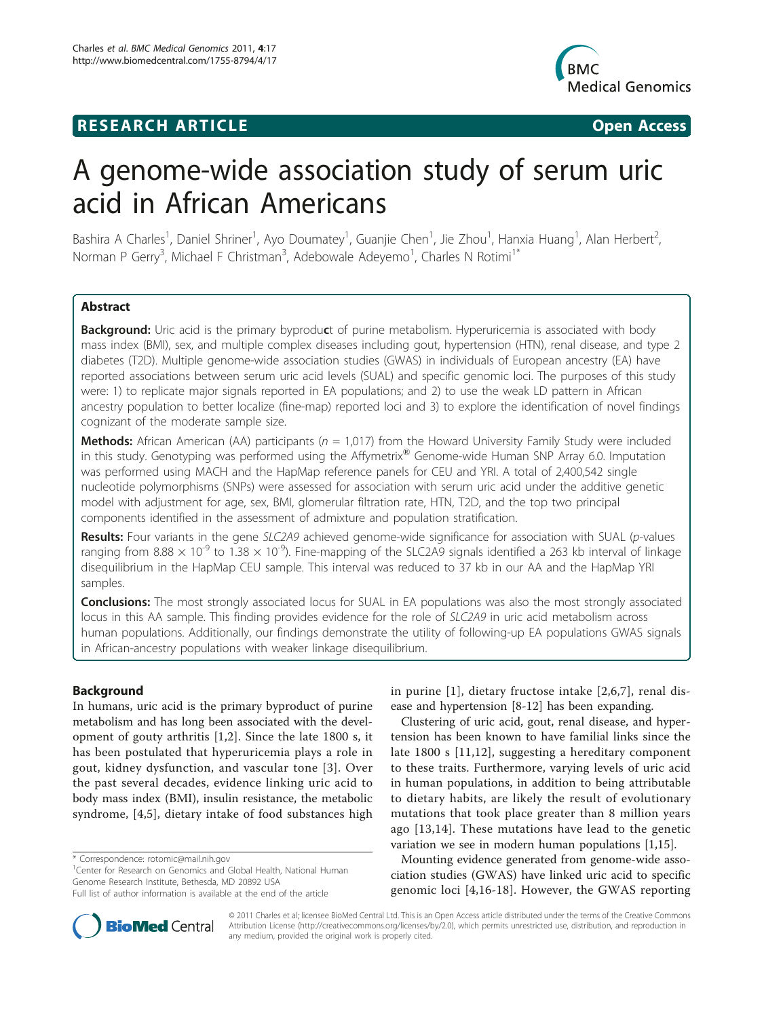## **RESEARCH ARTICLE Example 2018 CONSIDERING ACCESS**



# A genome-wide association study of serum uric acid in African Americans

Bashira A Charles<sup>1</sup>, Daniel Shriner<sup>1</sup>, Ayo Doumatey<sup>1</sup>, Guanjie Chen<sup>1</sup>, Jie Zhou<sup>1</sup>, Hanxia Huang<sup>1</sup>, Alan Herbert<sup>2</sup> , Norman P Gerry<sup>3</sup>, Michael F Christman<sup>3</sup>, Adebowale Adeyemo<sup>1</sup>, Charles N Rotimi<sup>1\*</sup>

## Abstract

Background: Uric acid is the primary byproduct of purine metabolism. Hyperuricemia is associated with body mass index (BMI), sex, and multiple complex diseases including gout, hypertension (HTN), renal disease, and type 2 diabetes (T2D). Multiple genome-wide association studies (GWAS) in individuals of European ancestry (EA) have reported associations between serum uric acid levels (SUAL) and specific genomic loci. The purposes of this study were: 1) to replicate major signals reported in EA populations; and 2) to use the weak LD pattern in African ancestry population to better localize (fine-map) reported loci and 3) to explore the identification of novel findings cognizant of the moderate sample size.

**Methods:** African American (AA) participants ( $n = 1.017$ ) from the Howard University Family Study were included in this study. Genotyping was performed using the Affymetrix® Genome-wide Human SNP Array 6.0. Imputation was performed using MACH and the HapMap reference panels for CEU and YRI. A total of 2,400,542 single nucleotide polymorphisms (SNPs) were assessed for association with serum uric acid under the additive genetic model with adjustment for age, sex, BMI, glomerular filtration rate, HTN, T2D, and the top two principal components identified in the assessment of admixture and population stratification.

Results: Four variants in the gene SLC2A9 achieved genome-wide significance for association with SUAL (p-values ranging from 8.88  $\times$  10<sup>-9</sup> to 1.38  $\times$  10<sup>-9</sup>). Fine-mapping of the SLC2A9 signals identified a 263 kb interval of linkage disequilibrium in the HapMap CEU sample. This interval was reduced to 37 kb in our AA and the HapMap YRI samples.

**Conclusions:** The most strongly associated locus for SUAL in EA populations was also the most strongly associated locus in this AA sample. This finding provides evidence for the role of SLC2A9 in uric acid metabolism across human populations. Additionally, our findings demonstrate the utility of following-up EA populations GWAS signals in African-ancestry populations with weaker linkage disequilibrium.

## Background

In humans, uric acid is the primary byproduct of purine metabolism and has long been associated with the development of gouty arthritis [\[1,2](#page-6-0)]. Since the late 1800 s, it has been postulated that hyperuricemia plays a role in gout, kidney dysfunction, and vascular tone [[3](#page-6-0)]. Over the past several decades, evidence linking uric acid to body mass index (BMI), insulin resistance, the metabolic syndrome, [[4,5](#page-6-0)], dietary intake of food substances high

\* Correspondence: [rotomic@mail.nih.gov](mailto:rotomic@mail.nih.gov)

<sup>1</sup> Center for Research on Genomics and Global Health, National Human Genome Research Institute, Bethesda, MD 20892 USA



Clustering of uric acid, gout, renal disease, and hypertension has been known to have familial links since the late 1800 s [[11,12](#page-6-0)], suggesting a hereditary component to these traits. Furthermore, varying levels of uric acid in human populations, in addition to being attributable to dietary habits, are likely the result of evolutionary mutations that took place greater than 8 million years ago [[13,14\]](#page-6-0). These mutations have lead to the genetic variation we see in modern human populations [[1,15\]](#page-6-0).

Mounting evidence generated from genome-wide association studies (GWAS) have linked uric acid to specific genomic loci [[4,16](#page-6-0)-[18](#page-6-0)]. However, the GWAS reporting



© 2011 Charles et al; licensee BioMed Central Ltd. This is an Open Access article distributed under the terms of the Creative Commons Attribution License [\(http://creativecommons.org/licenses/by/2.0](http://creativecommons.org/licenses/by/2.0)), which permits unrestricted use, distribution, and reproduction in any medium, provided the original work is properly cited.

Full list of author information is available at the end of the article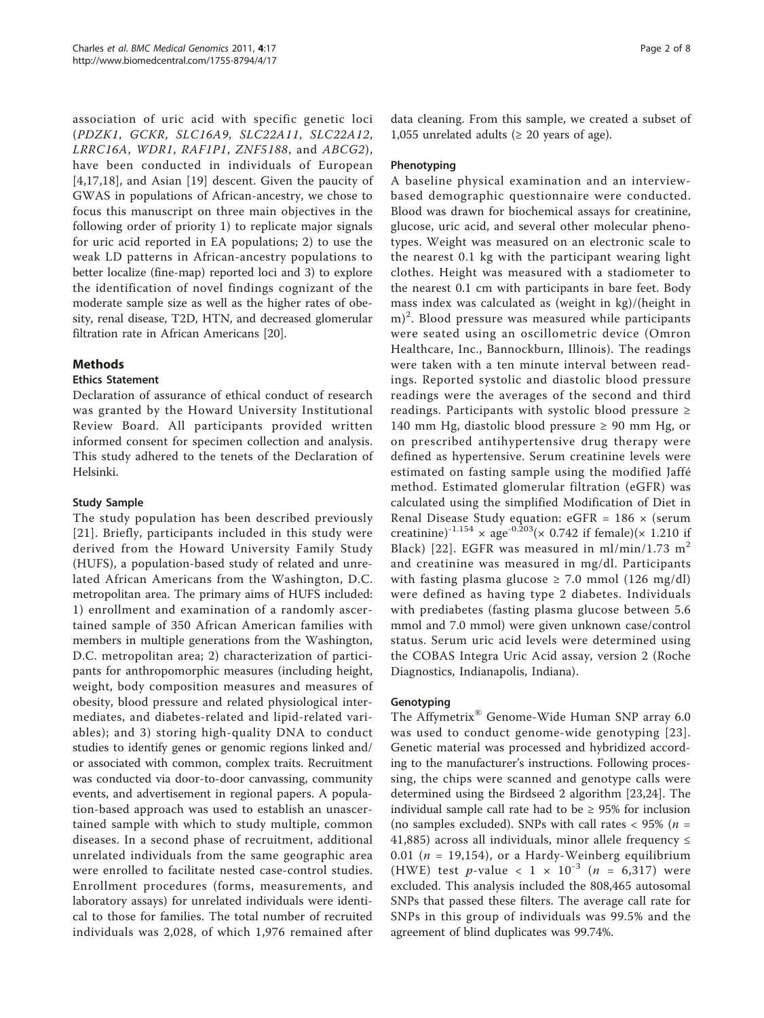association of uric acid with specific genetic loci (PDZK1, GCKR, SLC16A9, SLC22A11, SLC22A12, LRRC16A, WDR1, RAF1P1, ZNF5188, and ABCG2), have been conducted in individuals of European [[4,17](#page-6-0),[18](#page-6-0)], and Asian [[19\]](#page-6-0) descent. Given the paucity of GWAS in populations of African-ancestry, we chose to focus this manuscript on three main objectives in the following order of priority 1) to replicate major signals for uric acid reported in EA populations; 2) to use the weak LD patterns in African-ancestry populations to better localize (fine-map) reported loci and 3) to explore the identification of novel findings cognizant of the moderate sample size as well as the higher rates of obesity, renal disease, T2D, HTN, and decreased glomerular filtration rate in African Americans [[20](#page-6-0)].

## Methods

## Ethics Statement

Declaration of assurance of ethical conduct of research was granted by the Howard University Institutional Review Board. All participants provided written informed consent for specimen collection and analysis. This study adhered to the tenets of the Declaration of Helsinki.

## Study Sample

The study population has been described previously [[21\]](#page-6-0). Briefly, participants included in this study were derived from the Howard University Family Study (HUFS), a population-based study of related and unrelated African Americans from the Washington, D.C. metropolitan area. The primary aims of HUFS included: 1) enrollment and examination of a randomly ascertained sample of 350 African American families with members in multiple generations from the Washington, D.C. metropolitan area; 2) characterization of participants for anthropomorphic measures (including height, weight, body composition measures and measures of obesity, blood pressure and related physiological intermediates, and diabetes-related and lipid-related variables); and 3) storing high-quality DNA to conduct studies to identify genes or genomic regions linked and/ or associated with common, complex traits. Recruitment was conducted via door-to-door canvassing, community events, and advertisement in regional papers. A population-based approach was used to establish an unascertained sample with which to study multiple, common diseases. In a second phase of recruitment, additional unrelated individuals from the same geographic area were enrolled to facilitate nested case-control studies. Enrollment procedures (forms, measurements, and laboratory assays) for unrelated individuals were identical to those for families. The total number of recruited individuals was 2,028, of which 1,976 remained after data cleaning. From this sample, we created a subset of 1,055 unrelated adults ( $\geq$  20 years of age).

## Phenotyping

A baseline physical examination and an interviewbased demographic questionnaire were conducted. Blood was drawn for biochemical assays for creatinine, glucose, uric acid, and several other molecular phenotypes. Weight was measured on an electronic scale to the nearest 0.1 kg with the participant wearing light clothes. Height was measured with a stadiometer to the nearest 0.1 cm with participants in bare feet. Body mass index was calculated as (weight in kg)/(height in m)<sup>2</sup>. Blood pressure was measured while participants were seated using an oscillometric device (Omron Healthcare, Inc., Bannockburn, Illinois). The readings were taken with a ten minute interval between readings. Reported systolic and diastolic blood pressure readings were the averages of the second and third readings. Participants with systolic blood pressure ≥ 140 mm Hg, diastolic blood pressure ≥ 90 mm Hg, or on prescribed antihypertensive drug therapy were defined as hypertensive. Serum creatinine levels were estimated on fasting sample using the modified Jaffé method. Estimated glomerular filtration (eGFR) was calculated using the simplified Modification of Diet in Renal Disease Study equation: eGFR =  $186 \times$  (serum creatinine)<sup>-1.154</sup> × age<sup>-0.203</sup>(× 0.742 if female)(× 1.210 if Black) [[22](#page-6-0)]. EGFR was measured in ml/min/1.73  $m<sup>2</sup>$ and creatinine was measured in mg/dl. Participants with fasting plasma glucose  $\geq$  7.0 mmol (126 mg/dl) were defined as having type 2 diabetes. Individuals with prediabetes (fasting plasma glucose between 5.6 mmol and 7.0 mmol) were given unknown case/control status. Serum uric acid levels were determined using the COBAS Integra Uric Acid assay, version 2 (Roche Diagnostics, Indianapolis, Indiana).

## Genotyping

The Affymetrix® Genome-Wide Human SNP array 6.0 was used to conduct genome-wide genotyping [[23\]](#page-6-0). Genetic material was processed and hybridized according to the manufacturer's instructions. Following processing, the chips were scanned and genotype calls were determined using the Birdseed 2 algorithm [\[23,24](#page-6-0)]. The individual sample call rate had to be  $\geq$  95% for inclusion (no samples excluded). SNPs with call rates  $< 95\%$  ( $n =$ 41,885) across all individuals, minor allele frequency  $\leq$ 0.01 ( $n = 19,154$ ), or a Hardy-Weinberg equilibrium (HWE) test *p*-value <  $1 \times 10^{-3}$  (*n* = 6,317) were excluded. This analysis included the 808,465 autosomal SNPs that passed these filters. The average call rate for SNPs in this group of individuals was 99.5% and the agreement of blind duplicates was 99.74%.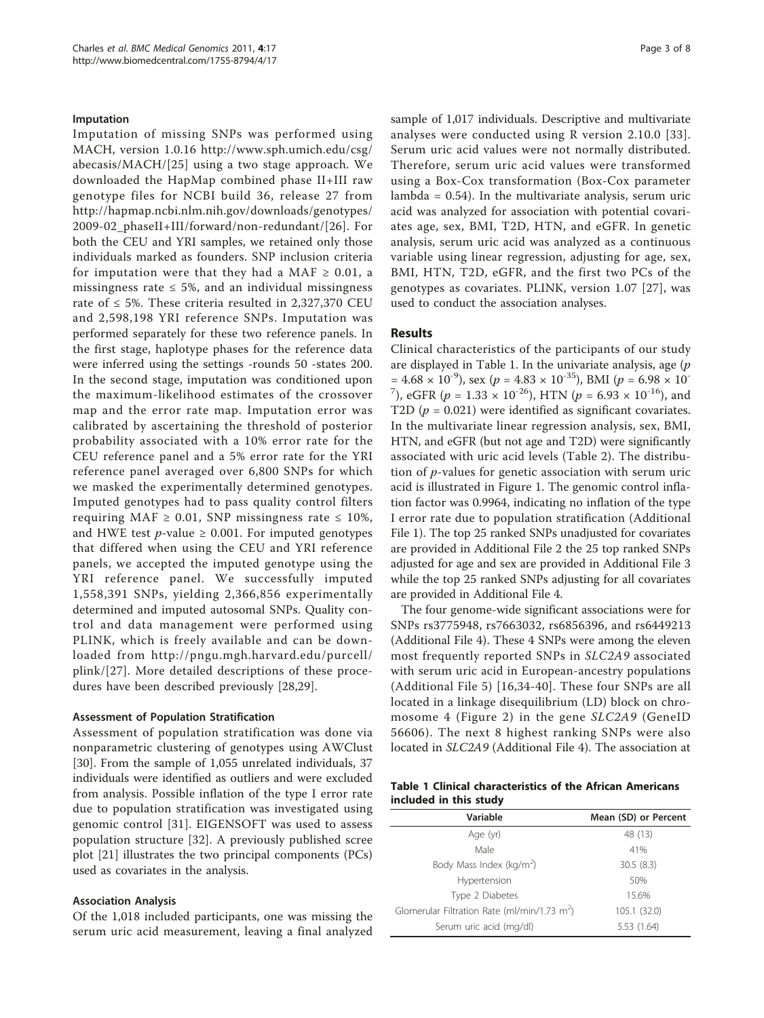#### Imputation

Imputation of missing SNPs was performed using MACH, version 1.0.16 [http://www.sph.umich.edu/csg/](http://www.sph.umich.edu/csg/abecasis/MACH/) [abecasis/MACH/](http://www.sph.umich.edu/csg/abecasis/MACH/)[[25\]](#page-6-0) using a two stage approach. We downloaded the HapMap combined phase II+III raw genotype files for NCBI build 36, release 27 from [http://hapmap.ncbi.nlm.nih.gov/downloads/genotypes/](http://hapmap.ncbi.nlm.nih.gov/downloads/genotypes/2009-02_phaseII+III/forward/non-redundant/) [2009-02\\_phaseII+III/forward/non-redundant/](http://hapmap.ncbi.nlm.nih.gov/downloads/genotypes/2009-02_phaseII+III/forward/non-redundant/)[[26\]](#page-6-0). For both the CEU and YRI samples, we retained only those individuals marked as founders. SNP inclusion criteria for imputation were that they had a MAF  $\geq$  0.01, a missingness rate  $\leq$  5%, and an individual missingness rate of  $\leq$  5%. These criteria resulted in 2,327,370 CEU and 2,598,198 YRI reference SNPs. Imputation was performed separately for these two reference panels. In the first stage, haplotype phases for the reference data were inferred using the settings -rounds 50 -states 200. In the second stage, imputation was conditioned upon the maximum-likelihood estimates of the crossover map and the error rate map. Imputation error was calibrated by ascertaining the threshold of posterior probability associated with a 10% error rate for the CEU reference panel and a 5% error rate for the YRI reference panel averaged over 6,800 SNPs for which we masked the experimentally determined genotypes. Imputed genotypes had to pass quality control filters requiring MAF  $\geq$  0.01, SNP missingness rate  $\leq$  10%, and HWE test  $p$ -value  $\geq$  0.001. For imputed genotypes that differed when using the CEU and YRI reference panels, we accepted the imputed genotype using the YRI reference panel. We successfully imputed 1,558,391 SNPs, yielding 2,366,856 experimentally determined and imputed autosomal SNPs. Quality control and data management were performed using PLINK, which is freely available and can be downloaded from [http://pngu.mgh.harvard.edu/purcell/](http://pngu.mgh.harvard.edu/purcell/plink/) [plink/](http://pngu.mgh.harvard.edu/purcell/plink/)[[27](#page-6-0)]. More detailed descriptions of these procedures have been described previously [[28,29](#page-6-0)].

#### Assessment of Population Stratification

Assessment of population stratification was done via nonparametric clustering of genotypes using AWClust [[30\]](#page-6-0). From the sample of 1,055 unrelated individuals, 37 individuals were identified as outliers and were excluded from analysis. Possible inflation of the type I error rate due to population stratification was investigated using genomic control [[31\]](#page-6-0). EIGENSOFT was used to assess population structure [[32\]](#page-6-0). A previously published scree plot [[21](#page-6-0)] illustrates the two principal components (PCs) used as covariates in the analysis.

#### Association Analysis

Of the 1,018 included participants, one was missing the serum uric acid measurement, leaving a final analyzed sample of 1,017 individuals. Descriptive and multivariate analyses were conducted using R version 2.10.0 [\[33\]](#page-6-0). Serum uric acid values were not normally distributed. Therefore, serum uric acid values were transformed using a Box-Cox transformation (Box-Cox parameter lambda = 0.54). In the multivariate analysis, serum uric acid was analyzed for association with potential covariates age, sex, BMI, T2D, HTN, and eGFR. In genetic analysis, serum uric acid was analyzed as a continuous variable using linear regression, adjusting for age, sex, BMI, HTN, T2D, eGFR, and the first two PCs of the genotypes as covariates. PLINK, version 1.07 [[27](#page-6-0)], was used to conduct the association analyses.

#### Results

Clinical characteristics of the participants of our study are displayed in Table 1. In the univariate analysis, age  $(p)$  $= 4.68 \times 10^{-9}$ ), sex (p = 4.83  $\times 10^{-35}$ ), BMI (p = 6.98  $\times 10^{-7}$ <sup>7</sup>), eGFR ( $p = 1.33 \times 10^{-26}$ ), HTN ( $p = 6.93 \times 10^{-16}$ ), and T2D ( $p = 0.021$ ) were identified as significant covariates. In the multivariate linear regression analysis, sex, BMI, HTN, and eGFR (but not age and T2D) were significantly associated with uric acid levels (Table [2\)](#page-3-0). The distribution of  $p$ -values for genetic association with serum uric acid is illustrated in Figure [1](#page-3-0). The genomic control inflation factor was 0.9964, indicating no inflation of the type I error rate due to population stratification (Additional File [1\)](#page-5-0). The top 25 ranked SNPs unadjusted for covariates are provided in Additional File [2](#page-5-0) the 25 top ranked SNPs adjusted for age and sex are provided in Additional File [3](#page-5-0) while the top 25 ranked SNPs adjusting for all covariates are provided in Additional File [4.](#page-5-0)

The four genome-wide significant associations were for SNPs rs3775948, rs7663032, rs6856396, and rs6449213 (Additional File [4](#page-5-0)). These 4 SNPs were among the eleven most frequently reported SNPs in SLC2A9 associated with serum uric acid in European-ancestry populations (Additional File [5\)](#page-5-0) [[16,34-](#page-6-0)[40\]](#page-7-0). These four SNPs are all located in a linkage disequilibrium (LD) block on chromosome 4 (Figure [2](#page-4-0)) in the gene SLC2A9 (GeneID 56606). The next 8 highest ranking SNPs were also located in SLC2A9 (Additional File [4\)](#page-5-0). The association at

Table 1 Clinical characteristics of the African Americans included in this study

| Variable                                                 | Mean (SD) or Percent |  |
|----------------------------------------------------------|----------------------|--|
| Age (yr)                                                 | 48 (13)              |  |
| Male                                                     | 41%                  |  |
| Body Mass Index (kg/m <sup>2</sup> )                     | 30.5(8.3)            |  |
| Hypertension                                             | 50%                  |  |
| Type 2 Diabetes                                          | 15.6%                |  |
| Glomerular Filtration Rate (ml/min/1.73 m <sup>2</sup> ) | 105.1 (32.0)         |  |
| Serum uric acid (mg/dl)                                  | 5.53 (1.64)          |  |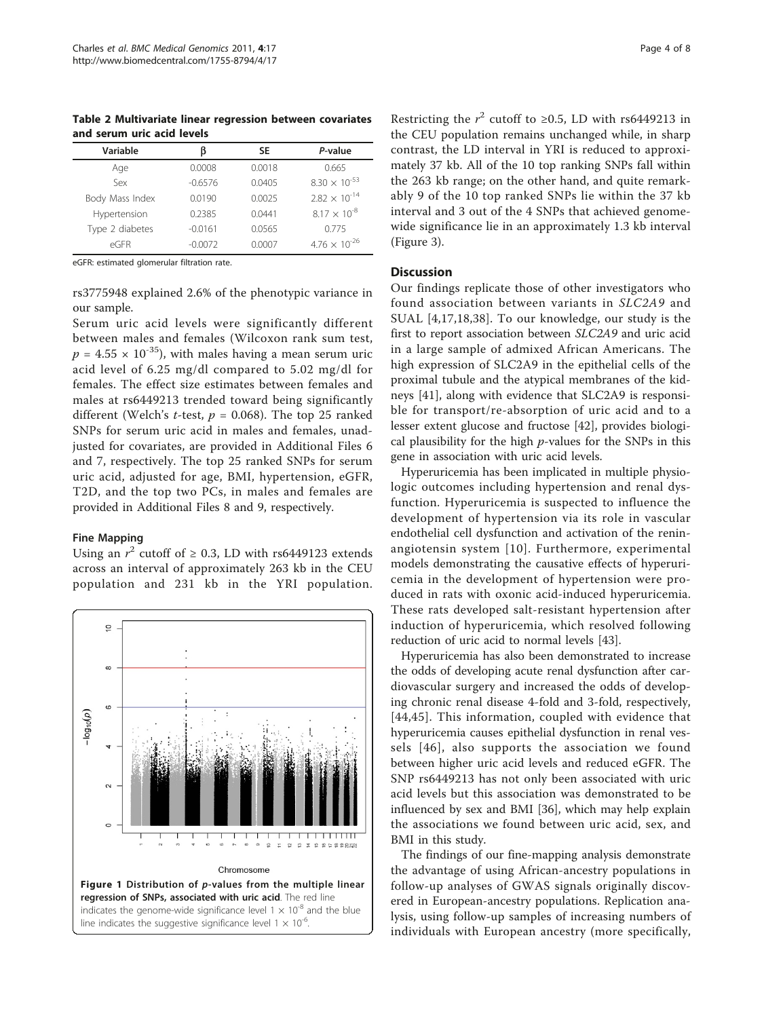<span id="page-3-0"></span>Table 2 Multivariate linear regression between covariates and serum uric acid levels

| Variable        | ß         | SE     | P-value                |
|-----------------|-----------|--------|------------------------|
| Age             | 0.0008    | 0.0018 | 0.665                  |
| Sex             | $-0.6576$ | 0.0405 | $8.30 \times 10^{-53}$ |
| Body Mass Index | 0.0190    | 0.0025 | $2.82 \times 10^{-14}$ |
| Hypertension    | 0.2385    | 0.0441 | $8.17 \times 10^{-8}$  |
| Type 2 diabetes | $-0.0161$ | 0.0565 | 0.775                  |
| eGFR            | $-0.0072$ | 0.0007 | $4.76 \times 10^{-26}$ |
|                 |           |        |                        |

eGFR: estimated glomerular filtration rate.

rs3775948 explained 2.6% of the phenotypic variance in our sample.

Serum uric acid levels were significantly different between males and females (Wilcoxon rank sum test,  $p = 4.55 \times 10^{-35}$ , with males having a mean serum uric acid level of 6.25 mg/dl compared to 5.02 mg/dl for females. The effect size estimates between females and males at rs6449213 trended toward being significantly different (Welch's *t*-test,  $p = 0.068$ ). The top 25 ranked SNPs for serum uric acid in males and females, unadjusted for covariates, are provided in Additional Files [6](#page-5-0) and [7,](#page-5-0) respectively. The top 25 ranked SNPs for serum uric acid, adjusted for age, BMI, hypertension, eGFR, T2D, and the top two PCs, in males and females are provided in Additional Files [8](#page-5-0) and [9,](#page-5-0) respectively.

#### Fine Mapping

Using an  $r^2$  cutoff of  $\geq$  0.3, LD with rs6449123 extends across an interval of approximately 263 kb in the CEU population and 231 kb in the YRI population.



Restricting the  $r^2$  cutoff to ≥0.5, LD with rs6449213 in the CEU population remains unchanged while, in sharp contrast, the LD interval in YRI is reduced to approximately 37 kb. All of the 10 top ranking SNPs fall within the 263 kb range; on the other hand, and quite remarkably 9 of the 10 top ranked SNPs lie within the 37 kb interval and 3 out of the 4 SNPs that achieved genomewide significance lie in an approximately 1.3 kb interval (Figure [3](#page-5-0)).

#### **Discussion**

Our findings replicate those of other investigators who found association between variants in SLC2A9 and SUAL [[4,17,18](#page-6-0),[38\]](#page-6-0). To our knowledge, our study is the first to report association between SLC2A9 and uric acid in a large sample of admixed African Americans. The high expression of SLC2A9 in the epithelial cells of the proximal tubule and the atypical membranes of the kidneys [\[41](#page-7-0)], along with evidence that SLC2A9 is responsible for transport/re-absorption of uric acid and to a lesser extent glucose and fructose [[42\]](#page-7-0), provides biological plausibility for the high  $p$ -values for the SNPs in this gene in association with uric acid levels.

Hyperuricemia has been implicated in multiple physiologic outcomes including hypertension and renal dysfunction. Hyperuricemia is suspected to influence the development of hypertension via its role in vascular endothelial cell dysfunction and activation of the reninangiotensin system [\[10](#page-6-0)]. Furthermore, experimental models demonstrating the causative effects of hyperuricemia in the development of hypertension were produced in rats with oxonic acid-induced hyperuricemia. These rats developed salt-resistant hypertension after induction of hyperuricemia, which resolved following reduction of uric acid to normal levels [\[43](#page-7-0)].

Hyperuricemia has also been demonstrated to increase the odds of developing acute renal dysfunction after cardiovascular surgery and increased the odds of developing chronic renal disease 4-fold and 3-fold, respectively, [[44,45](#page-7-0)]. This information, coupled with evidence that hyperuricemia causes epithelial dysfunction in renal vessels [[46\]](#page-7-0), also supports the association we found between higher uric acid levels and reduced eGFR. The SNP rs6449213 has not only been associated with uric acid levels but this association was demonstrated to be influenced by sex and BMI [\[36](#page-6-0)], which may help explain the associations we found between uric acid, sex, and BMI in this study.

The findings of our fine-mapping analysis demonstrate the advantage of using African-ancestry populations in follow-up analyses of GWAS signals originally discovered in European-ancestry populations. Replication analysis, using follow-up samples of increasing numbers of individuals with European ancestry (more specifically,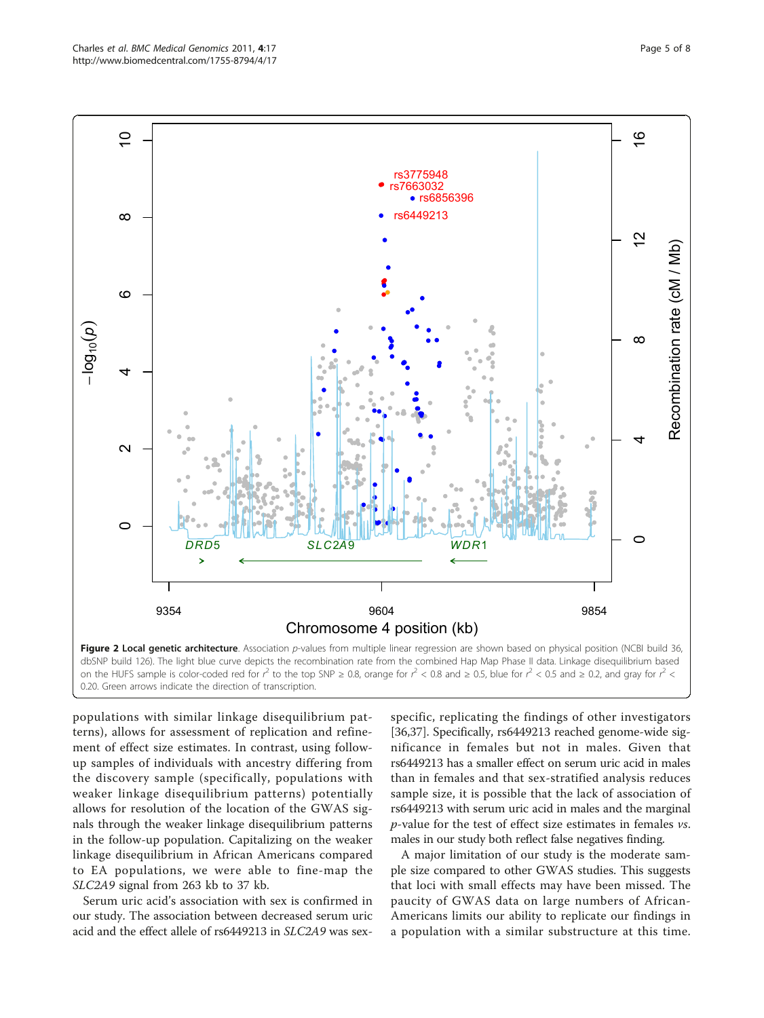<span id="page-4-0"></span>

0.20. Green arrows indicate the direction of transcription.

populations with similar linkage disequilibrium patterns), allows for assessment of replication and refinement of effect size estimates. In contrast, using followup samples of individuals with ancestry differing from the discovery sample (specifically, populations with weaker linkage disequilibrium patterns) potentially allows for resolution of the location of the GWAS signals through the weaker linkage disequilibrium patterns in the follow-up population. Capitalizing on the weaker linkage disequilibrium in African Americans compared to EA populations, we were able to fine-map the SLC2A9 signal from 263 kb to 37 kb.

Serum uric acid's association with sex is confirmed in our study. The association between decreased serum uric acid and the effect allele of rs6449213 in SLC2A9 was sex-

specific, replicating the findings of other investigators [[36,37\]](#page-6-0). Specifically, rs6449213 reached genome-wide significance in females but not in males. Given that rs6449213 has a smaller effect on serum uric acid in males than in females and that sex-stratified analysis reduces sample size, it is possible that the lack of association of rs6449213 with serum uric acid in males and the marginal p-value for the test of effect size estimates in females vs. males in our study both reflect false negatives finding.

A major limitation of our study is the moderate sample size compared to other GWAS studies. This suggests that loci with small effects may have been missed. The paucity of GWAS data on large numbers of African-Americans limits our ability to replicate our findings in a population with a similar substructure at this time.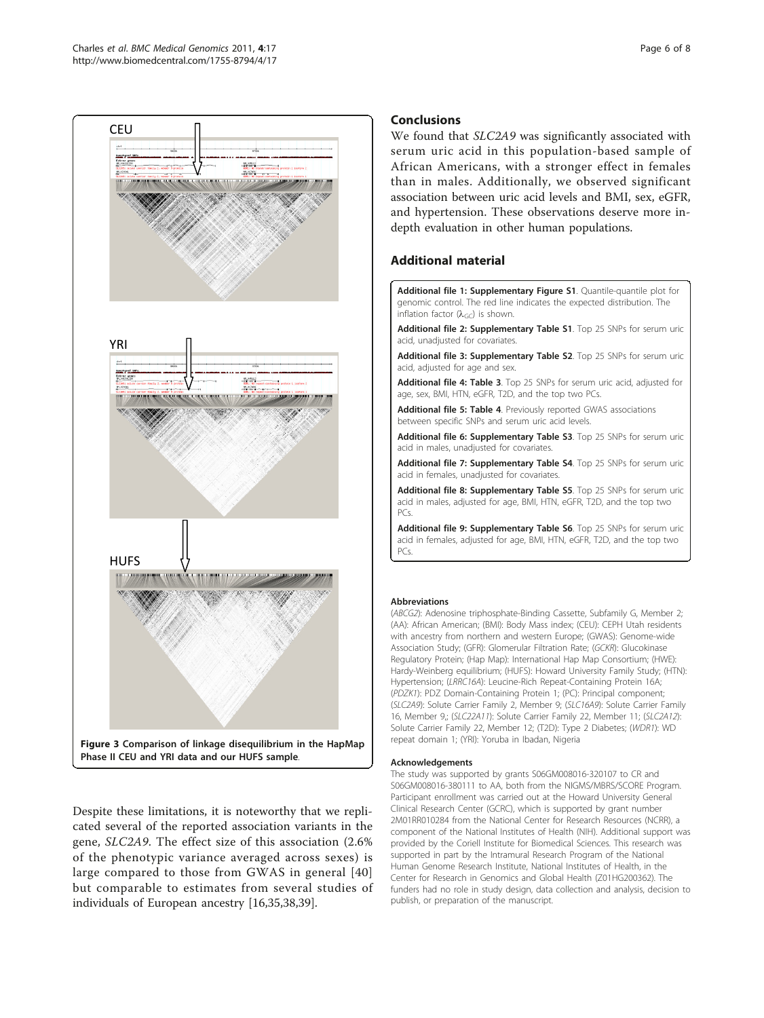<span id="page-5-0"></span>

Despite these limitations, it is noteworthy that we replicated several of the reported association variants in the gene, SLC2A9. The effect size of this association (2.6% of the phenotypic variance averaged across sexes) is large compared to those from GWAS in general [[40](#page-7-0)] but comparable to estimates from several studies of individuals of European ancestry [[16,35,38](#page-6-0),[39](#page-6-0)].

## Conclusions

We found that SLC2A9 was significantly associated with serum uric acid in this population-based sample of African Americans, with a stronger effect in females than in males. Additionally, we observed significant association between uric acid levels and BMI, sex, eGFR, and hypertension. These observations deserve more indepth evaluation in other human populations.

## Additional material

[Additional file 1: S](http://www.biomedcentral.com/content/supplementary/1755-8794-4-17-S1.PNG)upplementary Figure S1. Quantile-quantile plot for genomic control. The red line indicates the expected distribution. The inflation factor  $(\lambda_{GC})$  is shown.

[Additional file 2: S](http://www.biomedcentral.com/content/supplementary/1755-8794-4-17-S2.DOC)upplementary Table S1. Top 25 SNPs for serum uric acid, unadjusted for covariates.

[Additional file 3: S](http://www.biomedcentral.com/content/supplementary/1755-8794-4-17-S3.DOC)upplementary Table S2. Top 25 SNPs for serum uric acid, adjusted for age and sex.

[Additional file 4: T](http://www.biomedcentral.com/content/supplementary/1755-8794-4-17-S4.DOC)able 3. Top 25 SNPs for serum uric acid, adjusted for age, sex, BMI, HTN, eGFR, T2D, and the top two PCs.

[Additional file 5: T](http://www.biomedcentral.com/content/supplementary/1755-8794-4-17-S5.DOC)able 4. Previously reported GWAS associations between specific SNPs and serum uric acid levels.

[Additional file 6: S](http://www.biomedcentral.com/content/supplementary/1755-8794-4-17-S6.DOC)upplementary Table S3. Top 25 SNPs for serum uric acid in males, unadjusted for covariates.

[Additional file 7: S](http://www.biomedcentral.com/content/supplementary/1755-8794-4-17-S7.DOC)upplementary Table S4. Top 25 SNPs for serum uric acid in females, unadjusted for covariates

[Additional file 8: S](http://www.biomedcentral.com/content/supplementary/1755-8794-4-17-S8.DOC)upplementary Table S5. Top 25 SNPs for serum uric acid in males, adjusted for age, BMI, HTN, eGFR, T2D, and the top two PCs.

[Additional file 9: S](http://www.biomedcentral.com/content/supplementary/1755-8794-4-17-S9.DOC)upplementary Table S6. Top 25 SNPs for serum uric acid in females, adjusted for age, BMI, HTN, eGFR, T2D, and the top two PCs.

#### Abbreviations

(ABCG2): Adenosine triphosphate-Binding Cassette, Subfamily G, Member 2; (AA): African American; (BMI): Body Mass index; (CEU): CEPH Utah residents with ancestry from northern and western Europe; (GWAS): Genome-wide Association Study; (GFR): Glomerular Filtration Rate; (GCKR): Glucokinase Regulatory Protein; (Hap Map): International Hap Map Consortium; (HWE): Hardy-Weinberg equilibrium; (HUFS): Howard University Family Study; (HTN): Hypertension; (LRRC16A): Leucine-Rich Repeat-Containing Protein 16A; (PDZK1): PDZ Domain-Containing Protein 1; (PC): Principal component; (SLC2A9): Solute Carrier Family 2, Member 9; (SLC16A9): Solute Carrier Family 16, Member 9,; (SLC22A11): Solute Carrier Family 22, Member 11; (SLC2A12): Solute Carrier Family 22, Member 12; (T2D): Type 2 Diabetes; (WDR1): WD repeat domain 1; (YRI): Yoruba in Ibadan, Nigeria

#### Acknowledgements

The study was supported by grants S06GM008016-320107 to CR and S06GM008016-380111 to AA, both from the NIGMS/MBRS/SCORE Program. Participant enrollment was carried out at the Howard University General Clinical Research Center (GCRC), which is supported by grant number 2M01RR010284 from the National Center for Research Resources (NCRR), a component of the National Institutes of Health (NIH). Additional support was provided by the Coriell Institute for Biomedical Sciences. This research was supported in part by the Intramural Research Program of the National Human Genome Research Institute, National Institutes of Health, in the Center for Research in Genomics and Global Health (Z01HG200362). The funders had no role in study design, data collection and analysis, decision to publish, or preparation of the manuscript.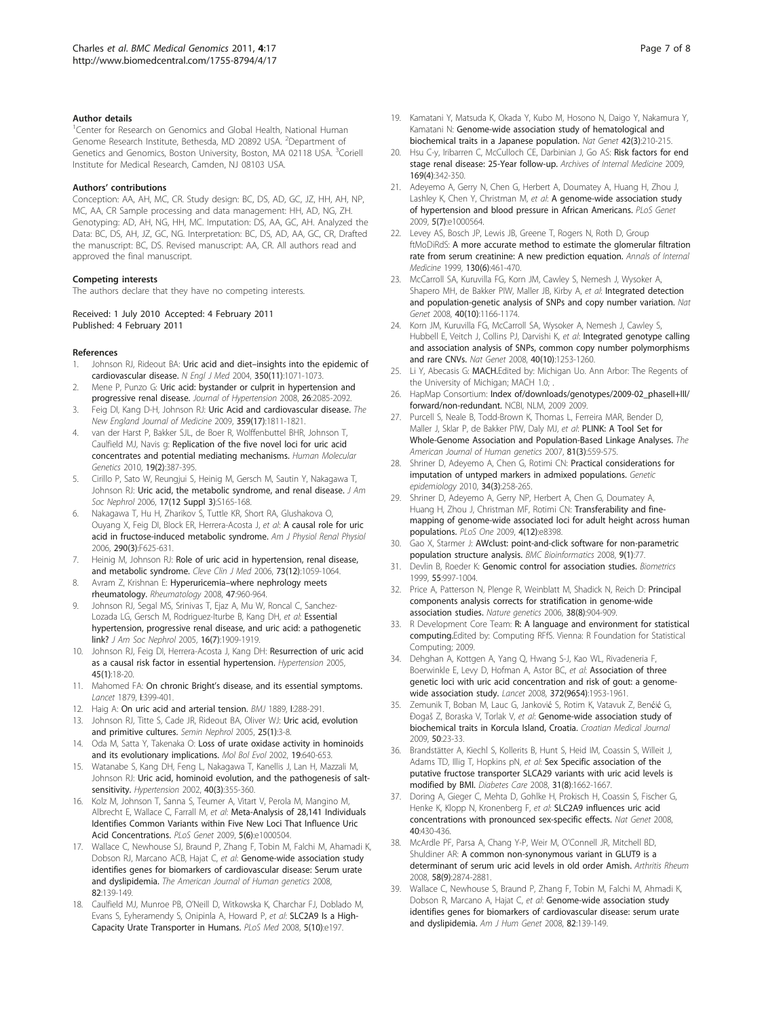#### <span id="page-6-0"></span>Author details

<sup>1</sup>Center for Research on Genomics and Global Health, National Human Genome Research Institute, Bethesda, MD 20892 USA. <sup>2</sup>Department of Genetics and Genomics, Boston University, Boston, MA 02118 USA. <sup>3</sup>Coriell Institute for Medical Research, Camden, NJ 08103 USA.

#### Authors' contributions

Conception: AA, AH, MC, CR. Study design: BC, DS, AD, GC, JZ, HH, AH, NP, MC, AA, CR Sample processing and data management: HH, AD, NG, ZH. Genotyping: AD, AH, NG, HH, MC. Imputation: DS, AA, GC, AH. Analyzed the Data: BC, DS, AH, JZ, GC, NG. Interpretation: BC, DS, AD, AA, GC, CR, Drafted the manuscript: BC, DS. Revised manuscript: AA, CR. All authors read and approved the final manuscript.

#### Competing interests

The authors declare that they have no competing interests.

#### Received: 1 July 2010 Accepted: 4 February 2011 Published: 4 February 2011

#### References

- Johnson RJ, Rideout BA: Uric acid and diet-[insights into the epidemic of](http://www.ncbi.nlm.nih.gov/pubmed/15014177?dopt=Abstract) [cardiovascular disease.](http://www.ncbi.nlm.nih.gov/pubmed/15014177?dopt=Abstract) N Engl J Med 2004, 350(11):1071-1073.
- 2. Mene P, Punzo G: [Uric acid: bystander or culprit in hypertension and](http://www.ncbi.nlm.nih.gov/pubmed/18854744?dopt=Abstract) [progressive renal disease.](http://www.ncbi.nlm.nih.gov/pubmed/18854744?dopt=Abstract) Journal of Hypertension 2008, 26:2085-2092.
- 3. Feig DI, Kang D-H, Johnson RJ: Uric Acid and cardiovascular disease. The New England Journal of Medicine 2009, 359(17):1811-1821.
- 4. van der Harst P, Bakker SJL, de Boer R, Wolffenbuttel BHR, Johnson T, Caulfield MJ, Navis g: [Replication of the five novel loci for uric acid](http://www.ncbi.nlm.nih.gov/pubmed/19861489?dopt=Abstract) [concentrates and potential mediating mechanisms.](http://www.ncbi.nlm.nih.gov/pubmed/19861489?dopt=Abstract) Human Molecular Genetics 2010, 19(2):387-395.
- 5. Cirillo P, Sato W, Reungjui S, Heinig M, Gersch M, Sautin Y, Nakagawa T, Johnson RJ: [Uric acid, the metabolic syndrome, and renal disease.](http://www.ncbi.nlm.nih.gov/pubmed/17130256?dopt=Abstract) J Am Soc Nephrol 2006, 17(12 Suppl 3):S165-168.
- 6. Nakagawa T, Hu H, Zharikov S, Tuttle KR, Short RA, Glushakova O, Ouyang X, Feig DI, Block ER, Herrera-Acosta J, et al: [A causal role for uric](http://www.ncbi.nlm.nih.gov/pubmed/16234313?dopt=Abstract) [acid in fructose-induced metabolic syndrome.](http://www.ncbi.nlm.nih.gov/pubmed/16234313?dopt=Abstract) Am J Physiol Renal Physiol 2006, 290(3):F625-631.
- 7. Heinig M, Johnson RJ: [Role of uric acid in hypertension, renal disease,](http://www.ncbi.nlm.nih.gov/pubmed/17190309?dopt=Abstract) [and metabolic syndrome.](http://www.ncbi.nlm.nih.gov/pubmed/17190309?dopt=Abstract) Cleve Clin J Med 2006, 73(12):1059-1064.
- 8. Avram Z, Krishnan E: Hyperuricemia-[where nephrology meets](http://www.ncbi.nlm.nih.gov/pubmed/18443007?dopt=Abstract) [rheumatology.](http://www.ncbi.nlm.nih.gov/pubmed/18443007?dopt=Abstract) Rheumatology 2008, 47:960-964.
- 9. Johnson RJ, Segal MS, Srinivas T, Ejaz A, Mu W, Roncal C, Sanchez-Lozada LG, Gersch M, Rodriguez-Iturbe B, Kang DH, et al: [Essential](http://www.ncbi.nlm.nih.gov/pubmed/15843466?dopt=Abstract) [hypertension, progressive renal disease, and uric acid: a pathogenetic](http://www.ncbi.nlm.nih.gov/pubmed/15843466?dopt=Abstract) [link?](http://www.ncbi.nlm.nih.gov/pubmed/15843466?dopt=Abstract) J Am Soc Nephrol 2005, 16(7):1909-1919.
- 10. Johnson RJ, Feig DI, Herrera-Acosta J, Kang DH: [Resurrection of uric acid](http://www.ncbi.nlm.nih.gov/pubmed/15557387?dopt=Abstract) [as a causal risk factor in essential hypertension.](http://www.ncbi.nlm.nih.gov/pubmed/15557387?dopt=Abstract) Hypertension 2005, 45(1):18-20.
- 11. Mahomed FA: On chronic Bright's disease, and its essential symptoms. Lancet 1879, I:399-401.
- 12. Haig A: On uric acid and arterial tension. BMJ 1889, I:288-291.
- 13. Johnson RJ, Titte S, Cade JR, Rideout BA, Oliver WJ: [Uric acid, evolution](http://www.ncbi.nlm.nih.gov/pubmed/15660328?dopt=Abstract) [and primitive cultures.](http://www.ncbi.nlm.nih.gov/pubmed/15660328?dopt=Abstract) Semin Nephrol 2005, 25(1):3-8.
- 14. Oda M, Satta Y, Takenaka O: Loss of urate oxidase activity in hominoids and its evolutionary implications. Mol Bol Evol 2002, 19:640-653.
- 15. Watanabe S, Kang DH, Feng L, Nakagawa T, Kanellis J, Lan H, Mazzali M, Johnson RJ: [Uric acid, hominoid evolution, and the pathogenesis of salt](http://www.ncbi.nlm.nih.gov/pubmed/12215479?dopt=Abstract)[sensitivity.](http://www.ncbi.nlm.nih.gov/pubmed/12215479?dopt=Abstract) Hypertension 2002, 40(3):355-360.
- 16. Kolz M, Johnson T, Sanna S, Teumer A, Vitart V, Perola M, Mangino M, Albrecht E, Wallace C, Farrall M, et al: [Meta-Analysis of 28,141 Individuals](http://www.ncbi.nlm.nih.gov/pubmed/19503597?dopt=Abstract) [Identifies Common Variants within Five New Loci That Influence Uric](http://www.ncbi.nlm.nih.gov/pubmed/19503597?dopt=Abstract) [Acid Concentrations.](http://www.ncbi.nlm.nih.gov/pubmed/19503597?dopt=Abstract) PLoS Genet 2009, 5(6):e1000504.
- 17. Wallace C, Newhouse SJ, Braund P, Zhang F, Tobin M, Falchi M, Ahamadi K, Dobson RJ, Marcano ACB, Hajat C, et al: Genome-wide association study identifies genes for biomarkers of cardiovascular disease: Serum urate and dyslipidemia. The American Journal of Human genetics 2008, 82:139-149.
- 18. Caulfield MJ, Munroe PB, O'Neill D, Witkowska K, Charchar FJ, Doblado M, Evans S, Eyheramendy S, Onipinla A, Howard P, et al: [SLC2A9 Is a High-](http://www.ncbi.nlm.nih.gov/pubmed/18842065?dopt=Abstract)[Capacity Urate Transporter in Humans.](http://www.ncbi.nlm.nih.gov/pubmed/18842065?dopt=Abstract) PLoS Med 2008, 5(10):e197.
- 19. Kamatani Y, Matsuda K, Okada Y, Kubo M, Hosono N, Daigo Y, Nakamura Y, Kamatani N: [Genome-wide association study of hematological and](http://www.ncbi.nlm.nih.gov/pubmed/20139978?dopt=Abstract) [biochemical traits in a Japanese population.](http://www.ncbi.nlm.nih.gov/pubmed/20139978?dopt=Abstract) Nat Genet 42(3):210-215.
- 20. Hsu C-y, Iribarren C, McCulloch CE, Darbinian J, Go AS: [Risk factors for end](http://www.ncbi.nlm.nih.gov/pubmed/19237717?dopt=Abstract) [stage renal disease: 25-Year follow-up.](http://www.ncbi.nlm.nih.gov/pubmed/19237717?dopt=Abstract) Archives of Internal Medicine 2009, 169(4):342-350.
- 21. Adeyemo A, Gerry N, Chen G, Herbert A, Doumatey A, Huang H, Zhou J, Lashley K, Chen Y, Christman M, et al: [A genome-wide association study](http://www.ncbi.nlm.nih.gov/pubmed/19609347?dopt=Abstract) [of hypertension and blood pressure in African Americans.](http://www.ncbi.nlm.nih.gov/pubmed/19609347?dopt=Abstract) PLoS Genet 2009, 5(7):e1000564.
- 22. Levey AS, Bosch JP, Lewis JB, Greene T, Rogers N, Roth D, Group ftMoDiRdS: [A more accurate method to estimate the glomerular filtration](http://www.ncbi.nlm.nih.gov/pubmed/10075613?dopt=Abstract) [rate from serum creatinine: A new prediction equation.](http://www.ncbi.nlm.nih.gov/pubmed/10075613?dopt=Abstract) Annals of Internal Medicine 1999, 130(6):461-470.
- 23. McCarroll SA, Kuruvilla FG, Korn JM, Cawley S, Nemesh J, Wysoker A, Shapero MH, de Bakker PIW, Maller JB, Kirby A, et al: [Integrated detection](http://www.ncbi.nlm.nih.gov/pubmed/18776908?dopt=Abstract) [and population-genetic analysis of SNPs and copy number variation.](http://www.ncbi.nlm.nih.gov/pubmed/18776908?dopt=Abstract) Nat Genet 2008, 40(10):1166-1174.
- 24. Korn JM, Kuruvilla FG, McCarroll SA, Wysoker A, Nemesh J, Cawley S, Hubbell E, Veitch J, Collins PJ, Darvishi K, et al: [Integrated genotype calling](http://www.ncbi.nlm.nih.gov/pubmed/18776909?dopt=Abstract) [and association analysis of SNPs, common copy number polymorphisms](http://www.ncbi.nlm.nih.gov/pubmed/18776909?dopt=Abstract) [and rare CNVs.](http://www.ncbi.nlm.nih.gov/pubmed/18776909?dopt=Abstract) Nat Genet 2008, 40(10):1253-1260.
- 25. Li Y, Abecasis G: MACH.Edited by: Michigan Uo. Ann Arbor: The Regents of the University of Michigan; MACH 1.0; .
- 26. HapMap Consortium: Index of/downloads/genotypes/2009-02\_phaseII+III/ forward/non-redundant. NCBI, NLM, 2009 2009.
- 27. Purcell S, Neale B, Todd-Brown K, Thomas L, Ferreira MAR, Bender D, Maller J, Sklar P, de Bakker PIW, Daly MJ, et al: PLINK: A Tool Set for Whole-Genome Association and Population-Based Linkage Analyses. The American Journal of Human genetics 2007, 81(3):559-575.
- 28. Shriner D, Adeyemo A, Chen G, Rotimi CN: [Practical considerations for](http://www.ncbi.nlm.nih.gov/pubmed/19918757?dopt=Abstract) [imputation of untyped markers in admixed populations.](http://www.ncbi.nlm.nih.gov/pubmed/19918757?dopt=Abstract) Genetic epidemiology 2010, 34(3):258-265.
- 29. Shriner D, Adeyemo A, Gerry NP, Herbert A, Chen G, Doumatey A, Huang H, Zhou J, Christman MF, Rotimi CN: [Transferability and fine](http://www.ncbi.nlm.nih.gov/pubmed/20027299?dopt=Abstract)[mapping of genome-wide associated loci for adult height across human](http://www.ncbi.nlm.nih.gov/pubmed/20027299?dopt=Abstract) [populations.](http://www.ncbi.nlm.nih.gov/pubmed/20027299?dopt=Abstract) PLoS One 2009, 4(12):e8398.
- 30. Gao X, Starmer J: [AWclust: point-and-click software for non-parametric](http://www.ncbi.nlm.nih.gov/pubmed/18237431?dopt=Abstract) [population structure analysis.](http://www.ncbi.nlm.nih.gov/pubmed/18237431?dopt=Abstract) BMC Bioinformatics 2008, 9(1):77
- 31. Devlin B, Roeder K: [Genomic control for association studies.](http://www.ncbi.nlm.nih.gov/pubmed/11315092?dopt=Abstract) Biometrics 1999, 55:997-1004.
- 32. Price A, Patterson N, Plenge R, Weinblatt M, Shadick N, Reich D: [Principal](http://www.ncbi.nlm.nih.gov/pubmed/16862161?dopt=Abstract) [components analysis corrects for stratification in genome-wide](http://www.ncbi.nlm.nih.gov/pubmed/16862161?dopt=Abstract) [association studies.](http://www.ncbi.nlm.nih.gov/pubmed/16862161?dopt=Abstract) Nature genetics 2006, 38(8):904-909.
- 33. R Development Core Team: R: A language and environment for statistical computing.Edited by: Computing RFfS. Vienna: R Foundation for Statistical Computing; 2009.
- 34. Dehghan A, Kottgen A, Yang Q, Hwang S-J, Kao WL, Rivadeneria F, Boerwinkle E, Levy D, Hofman A, Astor BC, et al: [Association of three](http://www.ncbi.nlm.nih.gov/pubmed/18834626?dopt=Abstract) [genetic loci with uric acid concentration and risk of gout: a genome](http://www.ncbi.nlm.nih.gov/pubmed/18834626?dopt=Abstract)[wide association study.](http://www.ncbi.nlm.nih.gov/pubmed/18834626?dopt=Abstract) Lancet 2008, 372(9654):1953-1961.
- 35. Zemunik T, Boban M, Lauc G, Janković S, Rotim K, Vatavuk Z, Benćić G, Đogaš Z, Boraska V, Torlak V, et al: [Genome-wide association study of](http://www.ncbi.nlm.nih.gov/pubmed/19260141?dopt=Abstract) [biochemical traits in Korcula Island, Croatia.](http://www.ncbi.nlm.nih.gov/pubmed/19260141?dopt=Abstract) Croatian Medical Journal 2009, 50:23-33.
- 36. Brandstätter A, Kiechl S, Kollerits B, Hunt S, Heid IM, Coassin S, Willeit J, Adams TD, Illig T, Hopkins pN, et al: [Sex Specific association of the](http://www.ncbi.nlm.nih.gov/pubmed/18487473?dopt=Abstract) [putative fructose transporter SLCA29 variants with uric acid levels is](http://www.ncbi.nlm.nih.gov/pubmed/18487473?dopt=Abstract) [modified](http://www.ncbi.nlm.nih.gov/pubmed/18487473?dopt=Abstract) by BMI. Diabetes Care 2008, 31(8):1662-1667.
- 37. Doring A, Gieger C, Mehta D, Gohlke H, Prokisch H, Coassin S, Fischer G, Henke K, Klopp N, Kronenberg F, et al: [SLC2A9 influences uric acid](http://www.ncbi.nlm.nih.gov/pubmed/18327256?dopt=Abstract) [concentrations with pronounced sex-specific effects.](http://www.ncbi.nlm.nih.gov/pubmed/18327256?dopt=Abstract) Nat Genet 2008, 40:430-436.
- 38. McArdle PF, Parsa A, Chang Y-P, Weir M, O'Connell JR, Mitchell BD, Shuldiner AR: [A common non-synonymous variant in GLUT9 is a](http://www.ncbi.nlm.nih.gov/pubmed/18759275?dopt=Abstract) [determinant of serum uric acid levels in old order Amish.](http://www.ncbi.nlm.nih.gov/pubmed/18759275?dopt=Abstract) Arthritis Rheum 2008, 58(9):2874-2881.
- Wallace C, Newhouse S, Braund P, Zhang F, Tobin M, Falchi M, Ahmadi K, Dobson R, Marcano A, Hajat C, et al: [Genome-wide association study](http://www.ncbi.nlm.nih.gov/pubmed/18179892?dopt=Abstract) [identifies genes for biomarkers of cardiovascular disease: serum urate](http://www.ncbi.nlm.nih.gov/pubmed/18179892?dopt=Abstract) [and dyslipidemia.](http://www.ncbi.nlm.nih.gov/pubmed/18179892?dopt=Abstract) Am J Hum Genet 2008, 82:139-149.